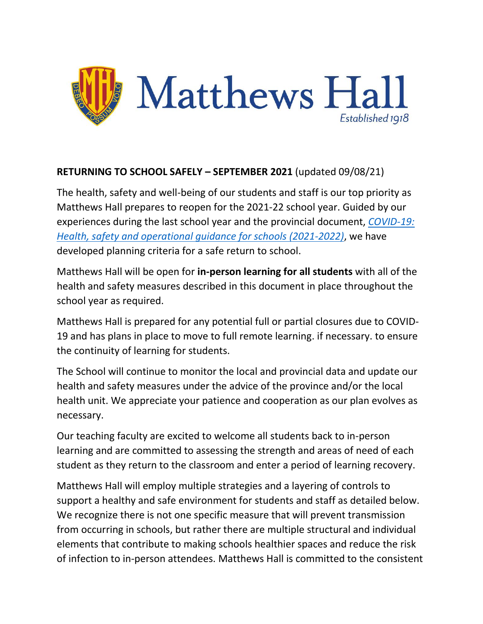

### **RETURNING TO SCHOOL SAFELY – SEPTEMBER 2021** (updated 09/08/21)

The health, safety and well-being of our students and staff is our top priority as Matthews Hall prepares to reopen for the 2021-22 school year. Guided by our experiences during the last school year and the provincial document, *[COVID-19:](https://www.ontario.ca/document/covid-19-health-safety-and-operational-guidance-schools-2021-2022)  [Health, safety and operational guidance for schools](https://www.ontario.ca/document/covid-19-health-safety-and-operational-guidance-schools-2021-2022) (2021-2022)*, we have developed planning criteria for a safe return to school.

Matthews Hall will be open for **in-person learning for all students** with all of the health and safety measures described in this document in place throughout the school year as required.

Matthews Hall is prepared for any potential full or partial closures due to COVID-19 and has plans in place to move to full remote learning. if necessary. to ensure the continuity of learning for students.

The School will continue to monitor the local and provincial data and update our health and safety measures under the advice of the province and/or the local health unit. We appreciate your patience and cooperation as our plan evolves as necessary.

Our teaching faculty are excited to welcome all students back to in-person learning and are committed to assessing the strength and areas of need of each student as they return to the classroom and enter a period of learning recovery.

Matthews Hall will employ multiple strategies and a layering of controls to support a healthy and safe environment for students and staff as detailed below. We recognize there is not one specific measure that will prevent transmission from occurring in schools, but rather there are multiple structural and individual elements that contribute to making schools healthier spaces and reduce the risk of infection to in-person attendees. Matthews Hall is committed to the consistent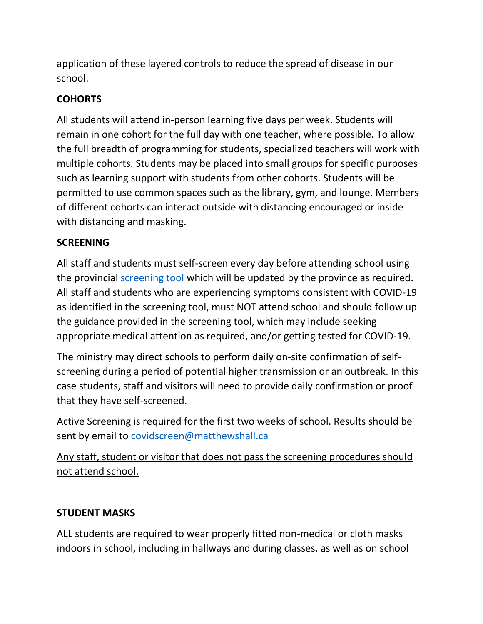application of these layered controls to reduce the spread of disease in our school.

# **COHORTS**

All students will attend in-person learning five days per week. Students will remain in one cohort for the full day with one teacher, where possible. To allow the full breadth of programming for students, specialized teachers will work with multiple cohorts. Students may be placed into small groups for specific purposes such as learning support with students from other cohorts. Students will be permitted to use common spaces such as the library, gym, and lounge. Members of different cohorts can interact outside with distancing encouraged or inside with distancing and masking.

## **SCREENING**

All staff and students must self-screen every day before attending school using the provincial [screening tool](https://covid-19.ontario.ca/school-screening/) which will be updated by the province as required. All staff and students who are experiencing symptoms consistent with COVID-19 as identified in the screening tool, must NOT attend school and should follow up the guidance provided in the screening tool, which may include seeking appropriate medical attention as required, and/or getting tested for COVID-19.

The ministry may direct schools to perform daily on-site confirmation of selfscreening during a period of potential higher transmission or an outbreak. In this case students, staff and visitors will need to provide daily confirmation or proof that they have self-screened.

Active Screening is required for the first two weeks of school. Results should be sent by email to [covidscreen@matthewshall.ca](mailto:covidscreen@matthewshall.ca)

Any staff, student or visitor that does not pass the screening procedures should not attend school.

### **STUDENT MASKS**

ALL students are required to wear properly fitted non-medical or cloth masks indoors in school, including in hallways and during classes, as well as on school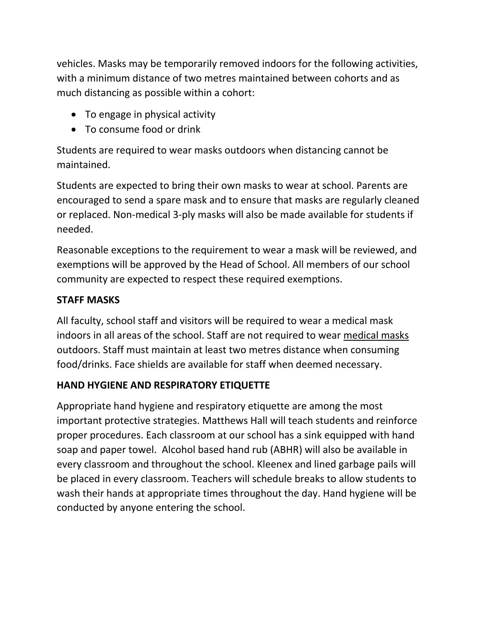vehicles. Masks may be temporarily removed indoors for the following activities, with a minimum distance of two metres maintained between cohorts and as much distancing as possible within a cohort:

- To engage in physical activity
- To consume food or drink

Students are required to wear masks outdoors when distancing cannot be maintained.

Students are expected to bring their own masks to wear at school. Parents are encouraged to send a spare mask and to ensure that masks are regularly cleaned or replaced. Non-medical 3-ply masks will also be made available for students if needed.

Reasonable exceptions to the requirement to wear a mask will be reviewed, and exemptions will be approved by the Head of School. All members of our school community are expected to respect these required exemptions.

# **STAFF MASKS**

All faculty, school staff and visitors will be required to wear a medical mask indoors in all areas of the school. Staff are not required to wear medical masks outdoors. Staff must maintain at least two metres distance when consuming food/drinks. Face shields are available for staff when deemed necessary.

# **HAND HYGIENE AND RESPIRATORY ETIQUETTE**

Appropriate hand hygiene and respiratory etiquette are among the most important protective strategies. Matthews Hall will teach students and reinforce proper procedures. Each classroom at our school has a sink equipped with hand soap and paper towel. Alcohol based hand rub (ABHR) will also be available in every classroom and throughout the school. Kleenex and lined garbage pails will be placed in every classroom. Teachers will schedule breaks to allow students to wash their hands at appropriate times throughout the day. Hand hygiene will be conducted by anyone entering the school.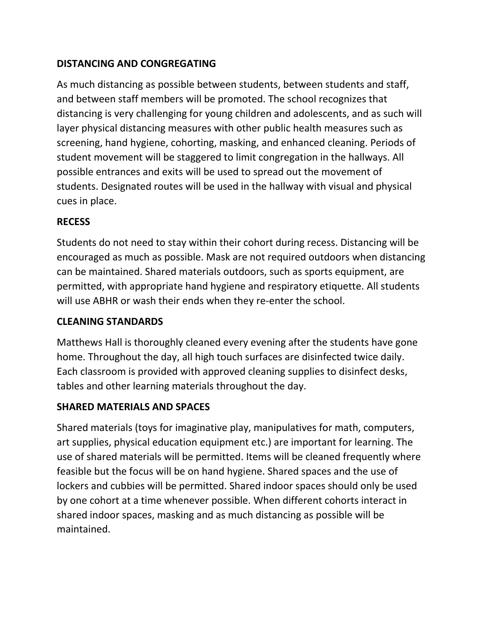## **DISTANCING AND CONGREGATING**

As much distancing as possible between students, between students and staff, and between staff members will be promoted. The school recognizes that distancing is very challenging for young children and adolescents, and as such will layer physical distancing measures with other public health measures such as screening, hand hygiene, cohorting, masking, and enhanced cleaning. Periods of student movement will be staggered to limit congregation in the hallways. All possible entrances and exits will be used to spread out the movement of students. Designated routes will be used in the hallway with visual and physical cues in place.

#### **RECESS**

Students do not need to stay within their cohort during recess. Distancing will be encouraged as much as possible. Mask are not required outdoors when distancing can be maintained. Shared materials outdoors, such as sports equipment, are permitted, with appropriate hand hygiene and respiratory etiquette. All students will use ABHR or wash their ends when they re-enter the school.

### **CLEANING STANDARDS**

Matthews Hall is thoroughly cleaned every evening after the students have gone home. Throughout the day, all high touch surfaces are disinfected twice daily. Each classroom is provided with approved cleaning supplies to disinfect desks, tables and other learning materials throughout the day.

#### **SHARED MATERIALS AND SPACES**

Shared materials (toys for imaginative play, manipulatives for math, computers, art supplies, physical education equipment etc.) are important for learning. The use of shared materials will be permitted. Items will be cleaned frequently where feasible but the focus will be on hand hygiene. Shared spaces and the use of lockers and cubbies will be permitted. Shared indoor spaces should only be used by one cohort at a time whenever possible. When different cohorts interact in shared indoor spaces, masking and as much distancing as possible will be maintained.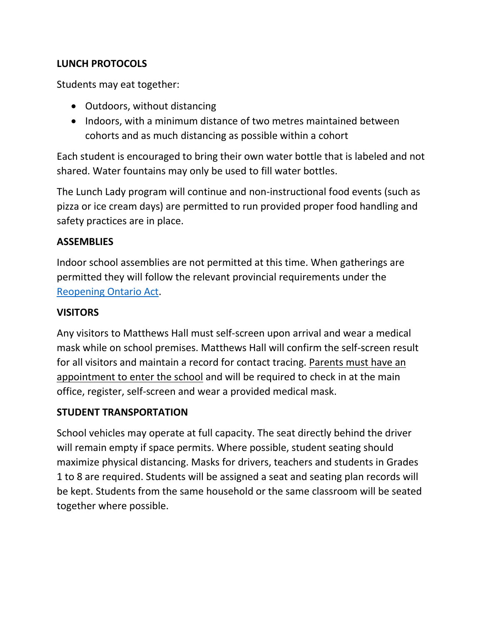### **LUNCH PROTOCOLS**

Students may eat together:

- Outdoors, without distancing
- Indoors, with a minimum distance of two metres maintained between cohorts and as much distancing as possible within a cohort

Each student is encouraged to bring their own water bottle that is labeled and not shared. Water fountains may only be used to fill water bottles.

The Lunch Lady program will continue and non-instructional food events (such as pizza or ice cream days) are permitted to run provided proper food handling and safety practices are in place.

#### **ASSEMBLIES**

Indoor school assemblies are not permitted at this time. When gatherings are permitted they will follow the relevant provincial requirements under the [Reopening Ontario Act.](https://www.ontario.ca/laws/statute/20r17)

#### **VISITORS**

Any visitors to Matthews Hall must self-screen upon arrival and wear a medical mask while on school premises. Matthews Hall will confirm the self-screen result for all visitors and maintain a record for contact tracing. Parents must have an appointment to enter the school and will be required to check in at the main office, register, self-screen and wear a provided medical mask.

#### **STUDENT TRANSPORTATION**

School vehicles may operate at full capacity. The seat directly behind the driver will remain empty if space permits. Where possible, student seating should maximize physical distancing. Masks for drivers, teachers and students in Grades 1 to 8 are required. Students will be assigned a seat and seating plan records will be kept. Students from the same household or the same classroom will be seated together where possible.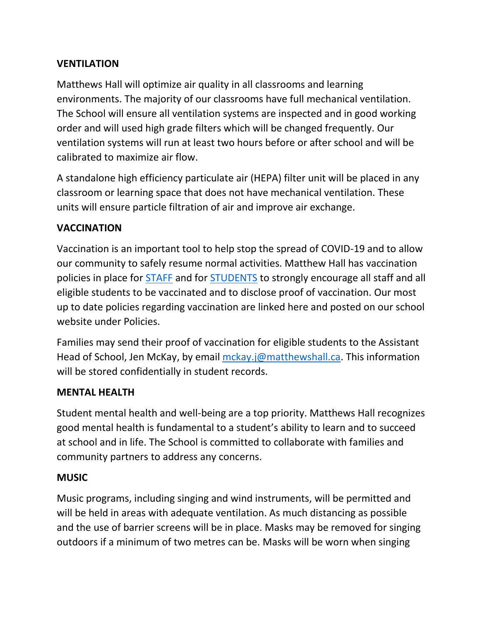### **VENTILATION**

Matthews Hall will optimize air quality in all classrooms and learning environments. The majority of our classrooms have full mechanical ventilation. The School will ensure all ventilation systems are inspected and in good working order and will used high grade filters which will be changed frequently. Our ventilation systems will run at least two hours before or after school and will be calibrated to maximize air flow.

A standalone high efficiency particulate air (HEPA) filter unit will be placed in any classroom or learning space that does not have mechanical ventilation. These units will ensure particle filtration of air and improve air exchange.

## **VACCINATION**

Vaccination is an important tool to help stop the spread of COVID-19 and to allow our community to safely resume normal activities. Matthew Hall has vaccination policies in place for [STAFF](Mandatory%20Vaccination%20Policy%20-%20Staff.pdf) and for [STUDENTS](Student%20Vaccination%20Policy.pdf) to strongly encourage all staff and all eligible students to be vaccinated and to disclose proof of vaccination. Our most up to date policies regarding vaccination are linked here and posted on our school website under Policies.

Families may send their proof of vaccination for eligible students to the Assistant Head of School, Jen McKay, by email [mckay.j@matthewshall.ca.](mailto:mckay.j@matthewshall.ca) This information will be stored confidentially in student records.

### **MENTAL HEALTH**

Student mental health and well-being are a top priority. Matthews Hall recognizes good mental health is fundamental to a student's ability to learn and to succeed at school and in life. The School is committed to collaborate with families and community partners to address any concerns.

#### **MUSIC**

Music programs, including singing and wind instruments, will be permitted and will be held in areas with adequate ventilation. As much distancing as possible and the use of barrier screens will be in place. Masks may be removed for singing outdoors if a minimum of two metres can be. Masks will be worn when singing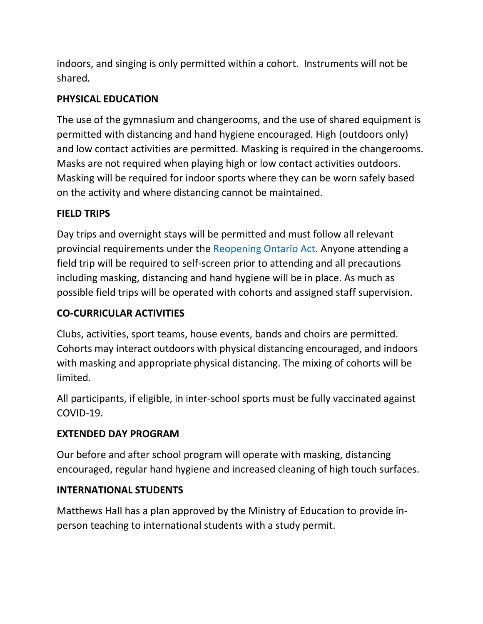indoors, and singing is only permitted within a cohort. Instruments will not be shared.

## **PHYSICAL EDUCATION**

The use of the gymnasium and changerooms, and the use of shared equipment is permitted with distancing and hand hygiene encouraged. High (outdoors only) and low contact activities are permitted. Masking is required in the changerooms. Masks are not required when playing high or low contact activities outdoors. Masking will be required for indoor sports where they can be worn safely based on the activity and where distancing cannot be maintained.

### **FIELD TRIPS**

Day trips and overnight stays will be permitted and must follow all relevant provincial requirements under the [Reopening Ontario Act.](https://www.ontario.ca/laws/statute/20r17) Anyone attending a field trip will be required to self-screen prior to attending and all precautions including masking, distancing and hand hygiene will be in place. As much as possible field trips will be operated with cohorts and assigned staff supervision.

## **CO-CURRICULAR ACTIVITIES**

Clubs, activities, sport teams, house events, bands and choirs are permitted. Cohorts may interact outdoors with physical distancing encouraged, and indoors with masking and appropriate physical distancing. The mixing of cohorts will be limited.

All participants, if eligible, in inter-school sports must be fully vaccinated against COVID-19.

### **EXTENDED DAY PROGRAM**

Our before and after school program will operate with masking, distancing encouraged, regular hand hygiene and increased cleaning of high touch surfaces.

### **INTERNATIONAL STUDENTS**

Matthews Hall has a plan approved by the Ministry of Education to provide inperson teaching to international students with a study permit.